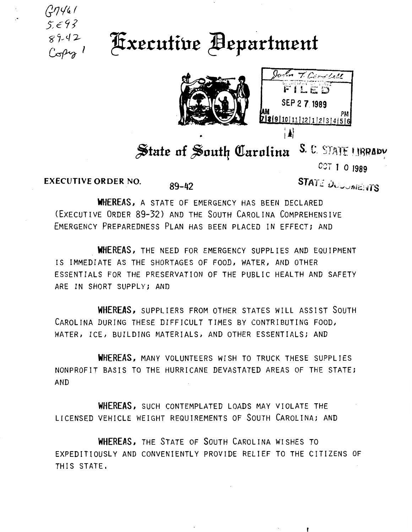

## **Executive Bepartment**



John T. Candlell FILES SEP 2 7 1989 9|10|11|12|1|2|3|4|5|6 

## State of South Carolina S.C. STATE UBRADY

**CCT 1 0 1989** 

**EXECUTIVE ORDER NO.** 

 $89 - 42$ 

**STATE DUCUBIENTS** 

WHEREAS, A STATE OF EMERGENCY HAS BEEN DECLARED (EXECUTIVE ORDER 89-32) AND THE SOUTH CAROLINA COMPREHENSIVE EMERGENCY PREPAREDNESS PLAN HAS BEEN PLACED IN EFFECT; AND

WHEREAS, THE NEED FOR EMERGENCY SUPPLIES AND EQUIPMENT IS IMMEDIATE AS THE SHORTAGES OF FOOD, WATER, AND OTHER ESSENTIALS FOR THE PRESERVATION OF THE PUBLIC HEALTH AND SAFETY ARE IN SHORT SUPPLY; AND

WHEREAS, SUPPLIERS FROM OTHER STATES WILL ASSIST SOUTH CAROLINA DURING THESE DIFFICULT TIMES BY CONTRIBUTING FOOD, WATER, ICE, BUILDING MATERIALS, AND OTHER ESSENTIALS; AND

WHEREAS, MANY VOLUNTEERS WISH TO TRUCK THESE SUPPLIES NONPROFIT BASIS TO THE HURRICANE DEVASTATED AREAS OF THE STATE; **AND** 

WHEREAS, SUCH CONTEMPLATED LOADS MAY VIOLATE THE LICENSED VEHICLE WEIGHT REQUIREMENTS OF SOUTH CAROLINA; AND

WHEREAS, THE STATE OF SOUTH CAROLINA WISHES TO EXPEDITIOUSLY AND CONVENIENTLY PROVIDE RELIEF TO THE CITIZENS OF THIS STATE.